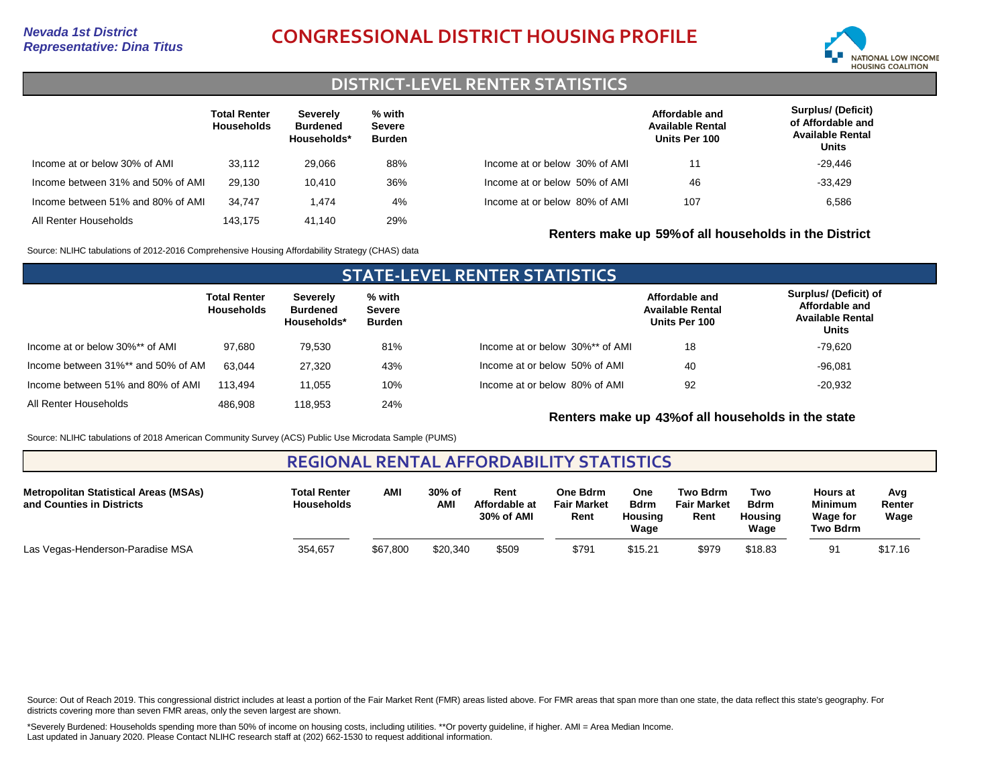# *Representative: Dina Titus* **CONGRESSIONAL DISTRICT HOUSING PROFILE**



## **DISTRICT-LEVEL RENTER STATISTICS**

|                                   | <b>Total Renter</b><br><b>Households</b> | Severely<br><b>Burdened</b><br>Households* | % with<br>Severe<br><b>Burden</b> |                               | Affordable and<br><b>Available Rental</b><br>Units Per 100 | <b>Surplus/ (Deficit)</b><br>of Affordable and<br><b>Available Rental</b><br>Units |
|-----------------------------------|------------------------------------------|--------------------------------------------|-----------------------------------|-------------------------------|------------------------------------------------------------|------------------------------------------------------------------------------------|
| Income at or below 30% of AMI     | 33.112                                   | 29.066                                     | 88%                               | Income at or below 30% of AMI | 11                                                         | $-29.446$                                                                          |
| Income between 31% and 50% of AMI | 29.130                                   | 10.410                                     | 36%                               | Income at or below 50% of AMI | 46                                                         | $-33.429$                                                                          |
| Income between 51% and 80% of AMI | 34.747                                   | 1.474                                      | 4%                                | Income at or below 80% of AMI | 107                                                        | 6,586                                                                              |
| All Renter Households             | 143.175                                  | 41.140                                     | 29%                               |                               | Renters make up 59% of all households in the District      |                                                                                    |

Source: NLIHC tabulations of 2012-2016 Comprehensive Housing Affordability Strategy (CHAS) data

### **STATE-LEVEL RENTER STATISTICS Total Renter Households Severely Burdened Households\* % with Severe Burden** Income at or below 30%\*\* of AMI Income between 31%\*\* and 50% of AMI All Renter Households 97,680 63,044 486,908 79,530 27,320 118,953 81% 43% 24% Income between 51% and 80% of AMI 113,494 11,055 10% Income at or below 30%\*\* of AMI Income at or below 50% of AMI Income at or below 80% of AMI **Affordable and Available Rental Units Per 100 Surplus/ (Deficit) of Affordable and Available Rental Units** 18 92 40 -20,932 -96,081 -79,620

**Renters make up 43%of all households in the state**

Source: NLIHC tabulations of 2018 American Community Survey (ACS) Public Use Microdata Sample (PUMS)

## **REGIONAL RENTAL AFFORDABILITY STATISTICS**

| <b>Metropolitan Statistical Areas (MSAs)</b><br>and Counties in Districts | <b>Total Renter</b><br><b>Households</b> | <b>AMI</b> | 30% of<br><b>AMI</b> | Rent<br>Affordable at<br>30% of AMI | One Bdrm<br><b>Fair Market</b><br>Rent | One<br><b>Bdrm</b><br>Housina<br>Waɑe | Two Bdrm<br><b>Fair Market</b><br>Rent | Two<br>Bdrm<br>Housina<br>Waqe | <b>Hours</b> at<br><b>Minimum</b><br><b>Wage for</b><br>Two Bdrm | Avg<br>Renter<br>Wage |
|---------------------------------------------------------------------------|------------------------------------------|------------|----------------------|-------------------------------------|----------------------------------------|---------------------------------------|----------------------------------------|--------------------------------|------------------------------------------------------------------|-----------------------|
| Las Vegas-Henderson-Paradise MSA                                          | 354,657                                  | \$67,800   | \$20,340             | \$509                               | \$791                                  | \$15.21                               | \$979                                  | \$18.83                        | 91                                                               | \$17.16               |

Source: Out of Reach 2019. This congressional district includes at least a portion of the Fair Market Rent (FMR) areas listed above. For FMR areas that span more than one state, the data reflect this state's geography. For districts covering more than seven FMR areas, only the seven largest are shown.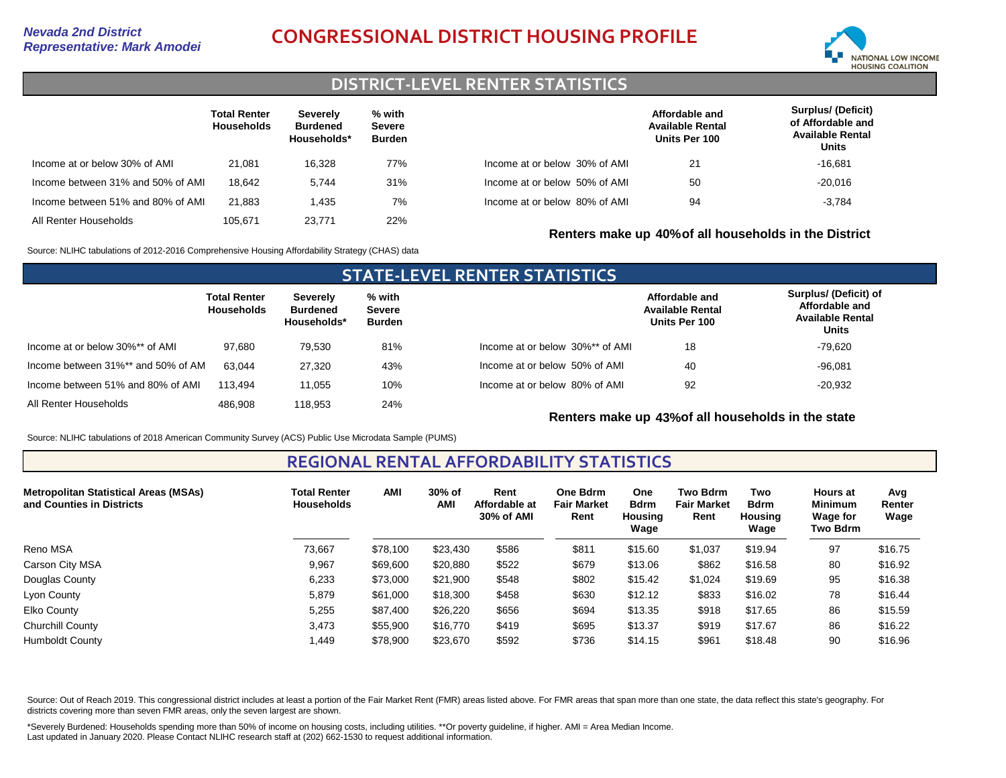# *Representative: Mark Amodei* **CONGRESSIONAL DISTRICT HOUSING PROFILE**



## **DISTRICT-LEVEL RENTER STATISTICS**

|                                   | <b>Total Renter</b><br><b>Households</b> | Severely<br><b>Burdened</b><br>Households* | % with<br><b>Severe</b><br><b>Burden</b> |                               | Affordable and<br><b>Available Rental</b><br>Units Per 100 | Surplus/ (Deficit)<br>of Affordable and<br><b>Available Rental</b><br>Units |
|-----------------------------------|------------------------------------------|--------------------------------------------|------------------------------------------|-------------------------------|------------------------------------------------------------|-----------------------------------------------------------------------------|
| Income at or below 30% of AMI     | 21.081                                   | 16.328                                     | 77%                                      | Income at or below 30% of AMI | 21                                                         | $-16.681$                                                                   |
| Income between 31% and 50% of AMI | 18.642                                   | 5.744                                      | 31%                                      | Income at or below 50% of AMI | 50                                                         | $-20.016$                                                                   |
| Income between 51% and 80% of AMI | 21.883                                   | 1.435                                      | 7%                                       | Income at or below 80% of AMI | 94                                                         | $-3.784$                                                                    |
| All Renter Households             | 105.671                                  | 23.771                                     | 22%                                      |                               | Renters make up 40% of all households in the District      |                                                                             |

Source: NLIHC tabulations of 2012-2016 Comprehensive Housing Affordability Strategy (CHAS) data

### **STATE-LEVEL RENTER STATISTICS Total Renter Households Severely Burdened Households\* % with Severe Burden** Income at or below 30%\*\* of AMI Income between 31%\*\* and 50% of AMI All Renter Households 97,680 63,044 486,908 79,530 27,320 118,953 81% 43% 24% Income between 51% and 80% of AMI 113,494 11,055 10% Income at or below 30%\*\* of AMI Income at or below 50% of AMI Income at or below 80% of AMI **Affordable and Available Rental Units Per 100 Surplus/ (Deficit) of Affordable and Available Rental Units** 18 92 40 -20,932 -96,081 -79,620

**Renters make up 43%of all households in the state**

Source: NLIHC tabulations of 2018 American Community Survey (ACS) Public Use Microdata Sample (PUMS)

**REGIONAL RENTAL AFFORDABILITY STATISTICS**

| <b>Metropolitan Statistical Areas (MSAs)</b><br>and Counties in Districts | <b>Total Renter</b><br><b>Households</b> | <b>AMI</b> | 30% of<br><b>AM</b> | Rent<br>Affordable at<br>30% of AMI | <b>One Bdrm</b><br><b>Fair Market</b><br>Rent | <b>One</b><br><b>Bdrm</b><br><b>Housing</b><br>Wage | <b>Two Bdrm</b><br><b>Fair Market</b><br>Rent | Two<br><b>Bdrm</b><br><b>Housing</b><br>Wage | <b>Hours at</b><br><b>Minimum</b><br>Wage for<br>Two Bdrm | Avg<br>Renter<br>Wage |
|---------------------------------------------------------------------------|------------------------------------------|------------|---------------------|-------------------------------------|-----------------------------------------------|-----------------------------------------------------|-----------------------------------------------|----------------------------------------------|-----------------------------------------------------------|-----------------------|
| Reno MSA                                                                  | 73,667                                   | \$78,100   | \$23,430            | \$586                               | \$811                                         | \$15.60                                             | \$1,037                                       | \$19.94                                      | 97                                                        | \$16.75               |
| Carson City MSA                                                           | 9,967                                    | \$69,600   | \$20,880            | \$522                               | \$679                                         | \$13.06                                             | \$862                                         | \$16.58                                      | 80                                                        | \$16.92               |
| Douglas County                                                            | 6,233                                    | \$73,000   | \$21,900            | \$548                               | \$802                                         | \$15.42                                             | \$1,024                                       | \$19.69                                      | 95                                                        | \$16.38               |
| Lyon County                                                               | 5,879                                    | \$61,000   | \$18,300            | \$458                               | \$630                                         | \$12.12                                             | \$833                                         | \$16.02                                      | 78                                                        | \$16.44               |
| Elko County                                                               | 5,255                                    | \$87,400   | \$26,220            | \$656                               | \$694                                         | \$13.35                                             | \$918                                         | \$17.65                                      | 86                                                        | \$15.59               |
| <b>Churchill County</b>                                                   | 3,473                                    | \$55,900   | \$16,770            | \$419                               | \$695                                         | \$13.37                                             | \$919                                         | \$17.67                                      | 86                                                        | \$16.22               |
| <b>Humboldt County</b>                                                    | 1.449                                    | \$78,900   | \$23,670            | \$592                               | \$736                                         | \$14.15                                             | \$961                                         | \$18.48                                      | 90                                                        | \$16.96               |

Source: Out of Reach 2019. This congressional district includes at least a portion of the Fair Market Rent (FMR) areas listed above. For FMR areas that span more than one state, the data reflect this state's geography. For districts covering more than seven FMR areas, only the seven largest are shown.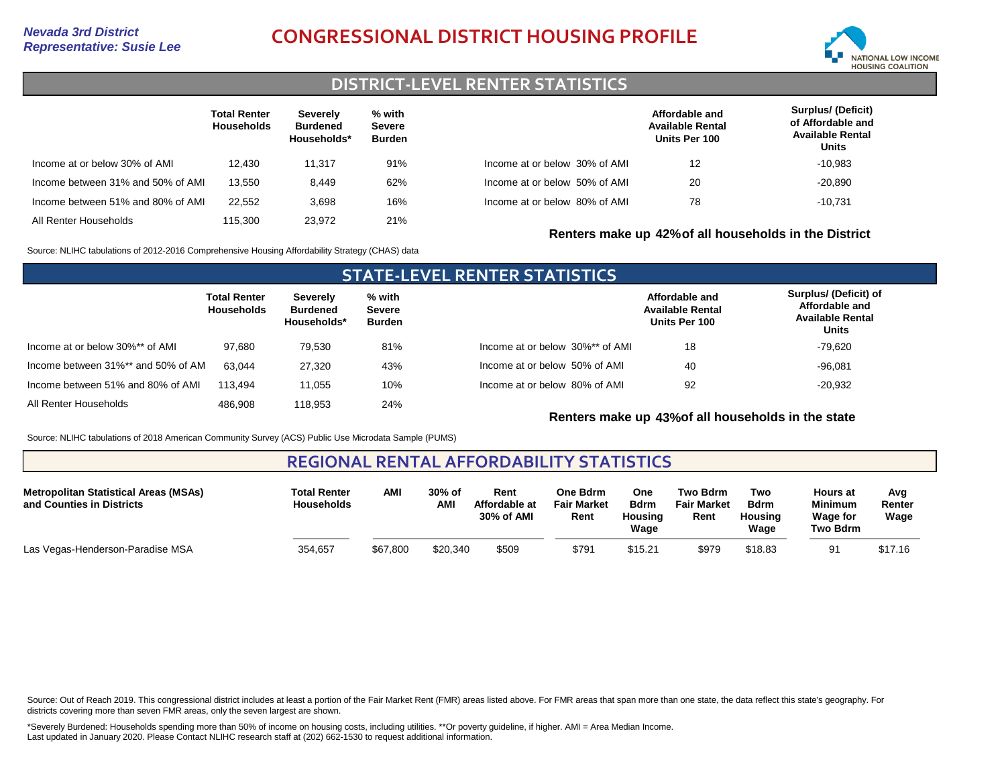# *Representative: Susie Lee* **CONGRESSIONAL DISTRICT HOUSING PROFILE**



### **DISTRICT-LEVEL RENTER STATISTICS**

|                                   | <b>Total Renter</b><br><b>Households</b> | Severely<br><b>Burdened</b><br>Households* | % with<br><b>Severe</b><br>Burden |                               | Affordable and<br><b>Available Rental</b><br>Units Per 100 | <b>Surplus/ (Deficit)</b><br>of Affordable and<br><b>Available Rental</b><br>Units |
|-----------------------------------|------------------------------------------|--------------------------------------------|-----------------------------------|-------------------------------|------------------------------------------------------------|------------------------------------------------------------------------------------|
| Income at or below 30% of AMI     | 12.430                                   | 11.317                                     | 91%                               | Income at or below 30% of AMI | 12                                                         | $-10.983$                                                                          |
| Income between 31% and 50% of AMI | 13.550                                   | 8.449                                      | 62%                               | Income at or below 50% of AMI | 20                                                         | $-20,890$                                                                          |
| Income between 51% and 80% of AMI | 22.552                                   | 3.698                                      | 16%                               | Income at or below 80% of AMI | 78                                                         | $-10.731$                                                                          |
| All Renter Households             | 115,300                                  | 23.972                                     | 21%                               |                               | Renters make up 42% of all households in the District      |                                                                                    |

Source: NLIHC tabulations of 2012-2016 Comprehensive Housing Affordability Strategy (CHAS) data

### **STATE-LEVEL RENTER STATISTICS Total Renter Households Severely Burdened Households\* % with Severe Burden** Income at or below 30%\*\* of AMI Income between 31%\*\* and 50% of AMI All Renter Households 97,680 63,044 486,908 79,530 27,320 118,953 81% 43% 24% Income between 51% and 80% of AMI 113,494 11,055 10% Income at or below 30%\*\* of AMI Income at or below 50% of AMI Income at or below 80% of AMI **Affordable and Available Rental Units Per 100 Surplus/ (Deficit) of Affordable and Available Rental Units** 18 92 40 -20,932 -96,081 -79,620

**Renters make up 43%of all households in the state**

Source: NLIHC tabulations of 2018 American Community Survey (ACS) Public Use Microdata Sample (PUMS)

## **REGIONAL RENTAL AFFORDABILITY STATISTICS**

| <b>Metropolitan Statistical Areas (MSAs)</b><br>and Counties in Districts | <b>Total Renter</b><br><b>Households</b> | AMI      | 30% of<br><b>AMI</b> | Rent<br>Affordable at<br>30% of AMI | One Bdrm<br><b>Fair Market</b><br>Rent | One<br><b>Bdrm</b><br>Housing<br>Waqe | Two Bdrm<br><b>Fair Market</b><br>Rent | Two<br><b>Bdrm</b><br>Housing<br>Waqe | <b>Hours at</b><br><b>Minimum</b><br><b>Wage for</b><br>Two Bdrm | Avg<br>Renter<br>Wage |
|---------------------------------------------------------------------------|------------------------------------------|----------|----------------------|-------------------------------------|----------------------------------------|---------------------------------------|----------------------------------------|---------------------------------------|------------------------------------------------------------------|-----------------------|
| Las Vegas-Henderson-Paradise MSA                                          | 354,657                                  | \$67,800 | \$20,340             | \$509                               | \$791                                  | \$15.21                               | \$979                                  | \$18.83                               | 91                                                               | \$17.16               |

Source: Out of Reach 2019. This congressional district includes at least a portion of the Fair Market Rent (FMR) areas listed above. For FMR areas that span more than one state, the data reflect this state's geography. For districts covering more than seven FMR areas, only the seven largest are shown.